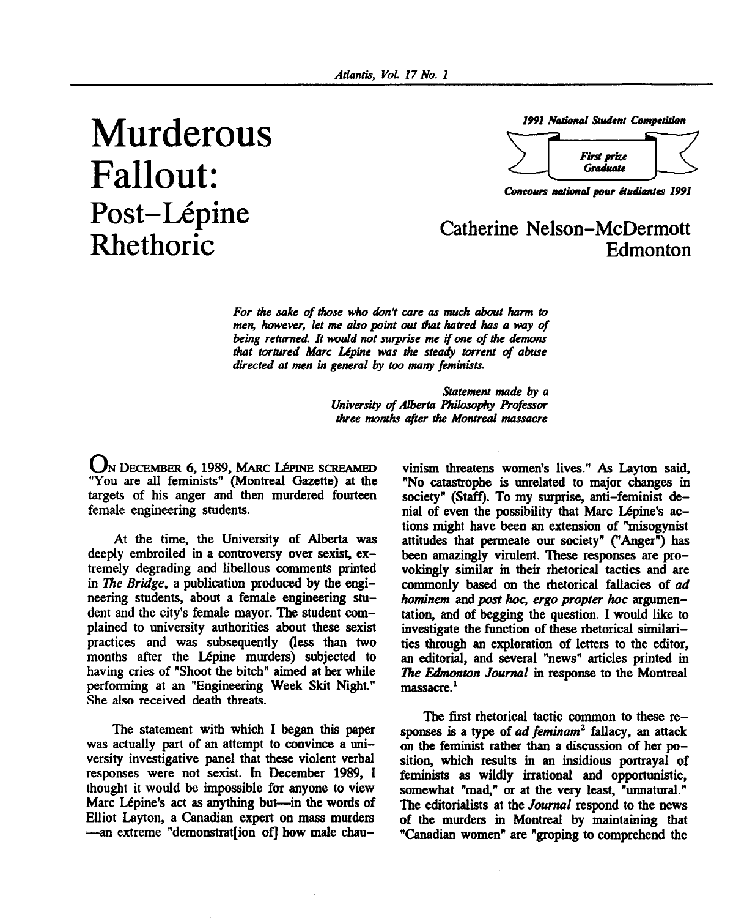## **Murderous Fallout:**  Post-Lépine<br>
Catherine Nelson-McDermott

*1991 National Student Competition* 



*Concours national pour etudiantes 1991* 

## **RhethoriC Edmonton**

*For the sake of those who don't care as much about harm to men, however, let me also point out that hatred has a way of being returned It would not surprise me if one of die demons that tortured Marc Lipine was the steady torrent of abuse directed at men in general by too many feminists.* 

> *Statement made by a University of Alberta Philosophy Professor three months after die Montreal massacre*

UN DECEMBER 6, 1989, MARC LÉPINE SCREAMED "You are all feminists" (Montreal Gazette) at the targets of his anger and then murdered fourteen female engineering students.

At the time, the University of Alberta was deeply embroiled in a controversy over sexist, extremely degrading and libellous comments printed in *The Bridge,* a publication produced by the engineering students, about a female engineering student and the city's female mayor. The student complained to university authorities about these sexist practices and was subsequently (less than two months after the Lépine murders) subjected to having cries of "Shoot the bitch" aimed at her while performing at an "Engineering Week Skit Night." She also received death threats.

The statement with which I began this paper was actually part of an attempt to convince a university investigative panel that these violent verbal responses were not sexist. In December 1989, I thought it would be impossible for anyone to view Marc Lépine's act as anything but—in the words of Elliot Layton, a Canadian expert on mass murders •—an extreme "demonstration of] how male chau-

vinism threatens women's lives." As Layton said, "No catastrophe is unrelated to major changes in society" (Staff). To my surprise, anti-feminist denial of even the possibility that Marc Lépine's actions might have been an extension of "misogynist attitudes that permeate our society" ("Anger") has been amazingly virulent. These responses are provokingly similar in their rhetorical tactics and are commonly based on the rhetorical fallacies of *ad hominem* and *post hoc, ergo propter hoc* argumentation, and of begging the question. I would like to investigate the function of these rhetorical similarities through an exploration of letters to the editor, an editorial, and several "news" articles printed in *The Edmonton Journal* in response to the Montreal massacre.<sup>1</sup>

The first rhetorical tactic common to these responses is a type of *ad feminam<sup>2</sup>* fallacy, an attack on the feminist rather than a discussion of her position, which results in an insidious portrayal of feminists as wildly irrational and opportunistic, somewhat "mad," or at the very least, "unnatural." The editorialists at the *Journal* respond to the news of the murders in Montreal by maintaining that "Canadian women" are "groping to comprehend the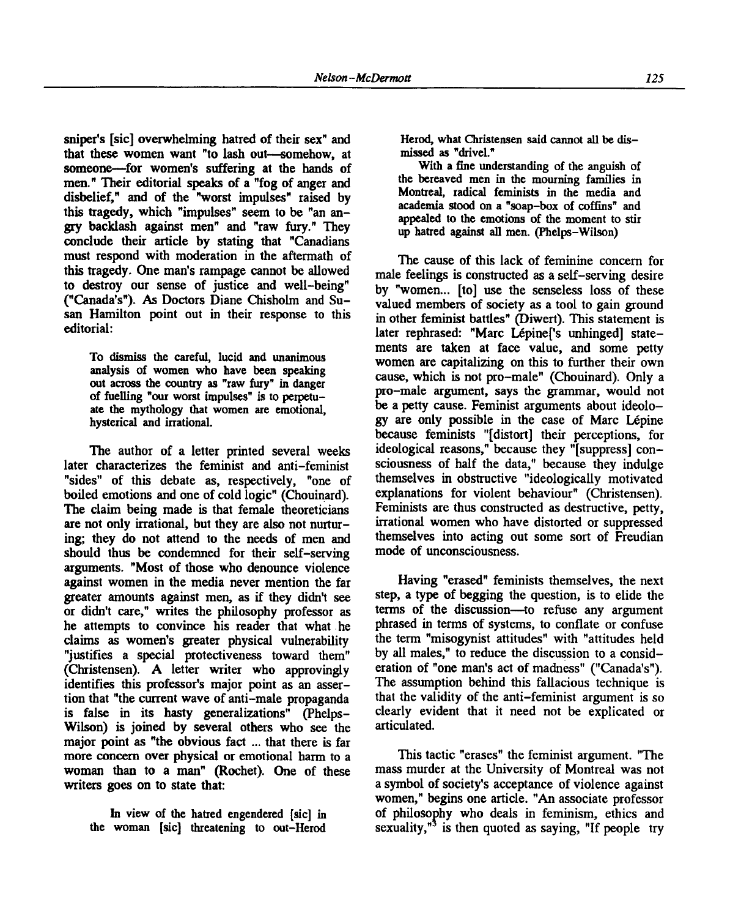sniper's [sic] overwhelming hatred of their sex" and that these women want "to lash out—somehow, at someone—for women's suffering at the hands of men." Their editorial speaks of a "fog of anger and disbelief," and of the "worst impulses" raised by this tragedy, which "impulses" seem to be "an angry backlash against men" and "raw fury." They conclude their article by stating that "Canadians must respond with moderation in the aftermath of this tragedy. One man's rampage cannot be allowed to destroy our sense of justice and well-being" ("Canada's"). As Doctors Diane Chisholm and Susan Hamilton point out in their response to this editorial:

To dismiss the careful, lucid and unanimous analysis of women who have been speaking out across the country as "raw fury" in danger of fuelling "our worst impulses" is to perpetuate the mythology that women are emotional, hysterical and irrational.

The author of a letter printed several weeks later characterizes the feminist and anti-feminist "sides" of this debate as, respectively, "one of boiled emotions and one of cold logic" (Chouinard). The claim being made is that female theoreticians are not only irrational, but they are also not nurturing; they do not attend to the needs of men and should thus be condemned for their self-serving arguments. "Most of those who denounce violence against women in the media never mention the far greater amounts against men, as if they didn't see or didn't care," writes the philosophy professor as he attempts to convince his reader that what he claims as women's greater physical vulnerability "justifies a special protectiveness toward them" (Christensen). A letter writer who approvingly identifies this professor's major point as an assertion that "the current wave of anti-male propaganda is false in its hasty generalizations" (Phelps-Wilson) is joined by several others who see the major point as "the obvious fact ... that there is far more concern over physical or emotional harm to a woman than to a man" (Rochet). One of these writers goes on to state that:

In view of the hatred engendered [sic] in the woman [sic] threatening to out-Herod Herod, what Christensen said cannot all be dismissed as "drivel."

With a fine understanding of the anguish of the bereaved men in the mourning families in Montreal, radical feminists in the media and academia stood on a "soap-box of coffins" and appealed to the emotions of the moment to stir up hatred against all men. (Phelps-Wilson)

The cause of this lack of feminine concern for male feelings is constructed as a self-serving desire by "women... [to] use the senseless loss of these valued members of society as a tool to gain ground in other feminist battles" (Diwert). This statement is later rephrased: "Marc Lépine<sup>['</sup>s unhinged] statements are taken at face value, and some petty women are capitalizing on this to further their own cause, which is not pro-male" (Chouinard). Only a pro-male argument, says the grammar, would not be a petty cause. Feminist arguments about ideology are only possible in the case of Marc Lepine because feminists "[distort] their perceptions, for ideological reasons," because they "[suppress] consciousness of half the data," because they indulge themselves in obstructive "ideologically motivated explanations for violent behaviour" (Christensen). Feminists are thus constructed as destructive, petty, irrational women who have distorted or suppressed themselves into acting out some sort of Freudian mode of unconsciousness.

Having "erased" feminists themselves, the next step, a type of begging the question, is to elide the terms of the discussion—to refuse any argument phrased in terms of systems, to conflate or confuse the term "misogynist attitudes" with "attitudes held by all males," to reduce the discussion to a consideration of "one man's act of madness" ("Canada's"). The assumption behind this fallacious technique is that the validity of the anti-feminist argument is so clearly evident that it need not be explicated or articulated.

This tactic "erases" the feminist argument. "The mass murder at the University of Montreal was not a symbol of society's acceptance of violence against women," begins one article. "An associate professor of philosophy who deals in feminism, ethics and sexuality, $n^3$  is then quoted as saying, "If people try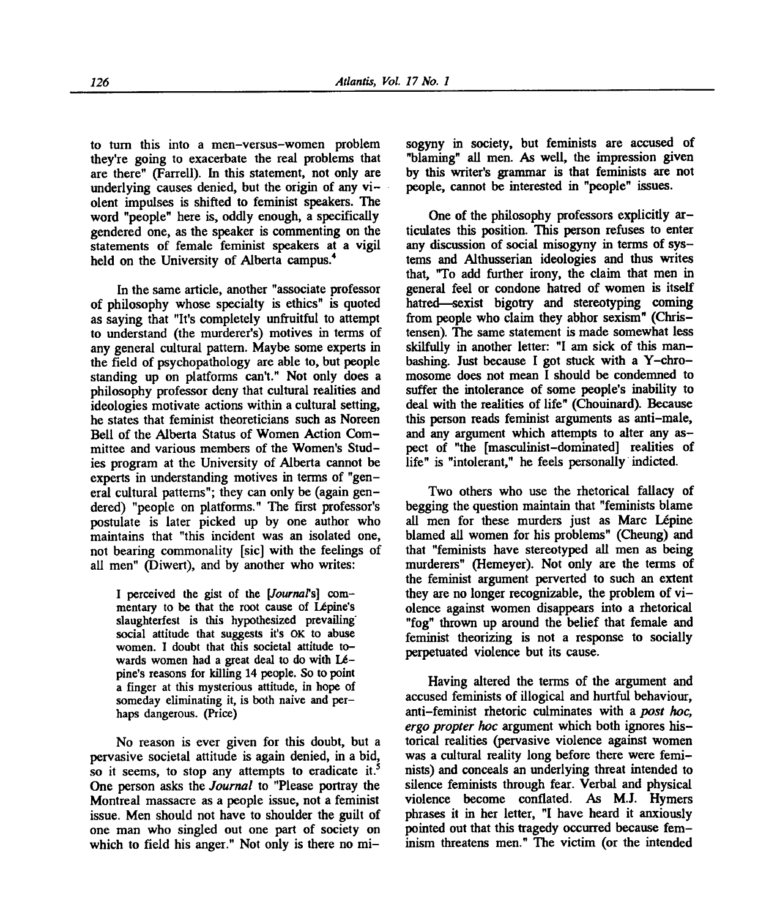to turn this into a men-versus-women problem they're going to exacerbate the real problems that are there" (Farrell). In this statement, not only are underlying causes denied, but the origin of any violent impulses is shifted to feminist speakers. The word "people" here is, oddly enough, a specifically gendered one, as the speaker is commenting on the statements of female feminist speakers at a vigil held on the University of Alberta campus.<sup>4</sup>

In the same article, another "associate professor of philosophy whose specialty is ethics" is quoted as saying that "It's completely unfruitful to attempt to understand (the murderer's) motives in terms of any general cultural pattern. Maybe some experts in the field of psychopathology are able to, but people standing up on platforms can't." Not only does a philosophy professor deny that cultural realities and ideologies motivate actions within a cultural setting, he states that feminist theoreticians such as Noreen Bell of the Alberta Status of Women Action Committee and various members of the Women's Studies program at the University of Alberta cannot be experts in understanding motives in terms of "general cultural patterns"; they can only be (again gendered) "people on platforms." The first professor's postulate is later picked up by one author who maintains that "this incident was an isolated one, not bearing commonality [sic] with the feelings of all men" (Diwert), and by another who writes:

I perceived the gist of the *[Journal's]* commentary to be that the root cause of Lépine's slaughterfest is this hypothesized prevailing social attitude that suggests it's **OK** to abuse women. I doubt that this societal attitude towards women had a great deal to do with  $Lé$ pine's reasons for killing 14 people. So to point a finger at this mysterious attitude, in hope of someday eliminating it, is both naive and perhaps dangerous. (Price)

No reason is ever given for this doubt, but a pervasive societal attitude is again denied, in a bid, so it seems, to stop any attempts to eradicate it.<sup>5</sup> One person asks the *Journal* to "Please portray the Montreal massacre as a people issue, not a feminist issue. Men should not have to shoulder the guilt of one man who singled out one part of society on which to field his anger." Not only is there no misogyny in society, but feminists are accused of "blaming" all men. As well, the impression given by this writer's grammar is that feminists are not people, cannot be interested in "people" issues.

One of the philosophy professors explicitly articulates this position. This person refuses to enter any discussion of social misogyny in terms of systems and Althusserian ideologies and thus writes that, "To add further irony, the claim that men in general feel or condone hatred of women is itself hatred—sexist bigotry and stereotyping coming from people who claim they abhor sexism" (Christensen). The same statement is made somewhat less skilfully in another letter: "I am sick of this manbashing. Just because I got stuck with a Y-chromosome does not mean I should be condemned to suffer the intolerance of some people's inability to deal with the realities of life" (Chouinard). Because this person reads feminist arguments as anti-male, and any argument which attempts to alter any aspect of "the [masculinist-dominated] realities of life" is "intolerant," he feels personally indicted.

Two others who use the rhetorical fallacy of begging the question maintain that "feminists blame all men for these murders just as Marc Lépine blamed all women for his problems" (Cheung) and that "feminists have stereotyped all men as being murderers" (Hemeyer). Not only are the terms of the feminist argument perverted to such an extent they are no longer recognizable, the problem of vi olence against women disappears into a rhetorical "fog" thrown up around the belief that female and feminist theorizing is not a response to socially perpetuated violence but its cause.

Having altered the terms of the argument and accused feminists of illogical and hurtful behaviour, anti-feminist rhetoric culminates with a *post hoc, ergo propter hoc* argument which both ignores historical realities (pervasive violence against women was a cultural reality long before there were feminists) and conceals an underlying threat intended to silence feminists through fear. Verbal and physical violence become conflated. As M.J. Hymers phrases it in her letter, "I have heard it anxiously pointed out that this tragedy occurred because feminism threatens men." The victim (or the intended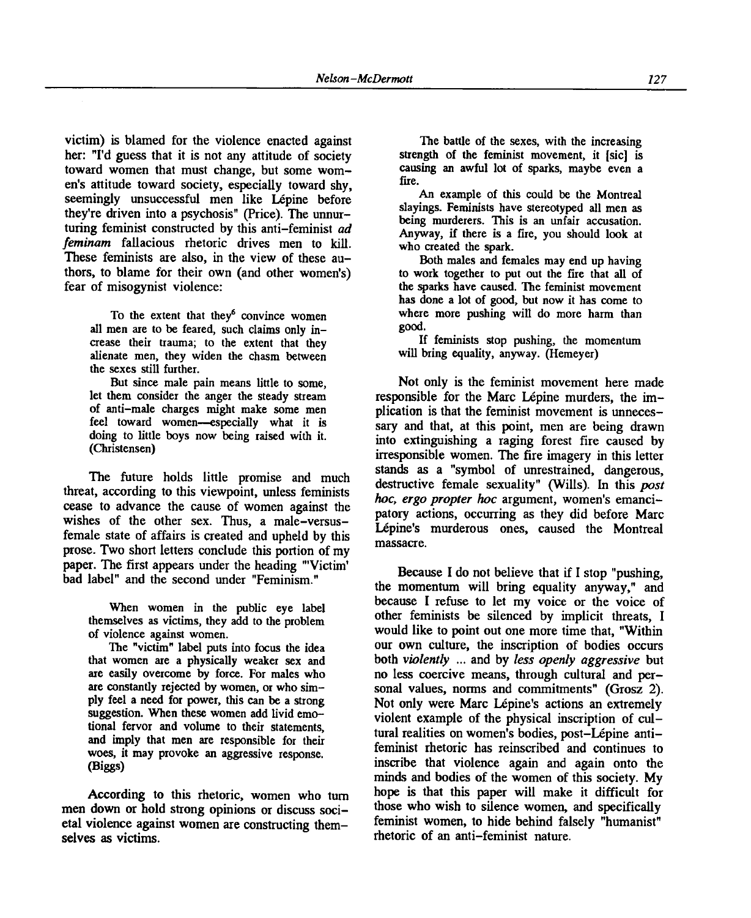victim) is blamed for the violence enacted against her: "I'd guess that it is not any attitude of society toward women that must change, but some women's attitude toward society, especially toward shy, seemingly unsuccessful men like Lépine before they're driven into a psychosis" (Price). The unnurturing feminist constructed by this anti-feminist *ad feminam* fallacious rhetoric drives men to kill. These feminists are also, in the view of these authors, to blame for their own (and other women's) fear of misogynist violence:

To the extent that they<sup>6</sup> convince women all men are to be feared, such claims only increase their trauma; to the extent that they alienate men, they widen the chasm between the sexes still further.

But since male pain means little to some, let them consider the anger the steady stream of anti-male charges might make some men feel toward women—especially what it is doing to little boys now being raised with it. (Christensen)

The future holds little promise and much threat, according to this viewpoint, unless feminists cease to advance the cause of women against the wishes of the other sex. Thus, a male-versusfemale state of affairs is created and upheld by this prose. Two short letters conclude this portion of my paper. The first appears under the heading "'Victim' bad label" and the second under "Feminism."

When women in the public eye label themselves as victims, they add to the problem of violence against women.

The "victim" label puts into focus the idea that women are a physically weaker sex and are easily overcome by force. For males who are constantly rejected by women, or who simply feel a need for power, this can be a strong suggestion. When these women add livid emotional fervor and volume to their statements, and imply that men are responsible for their woes, it may provoke an aggressive response. (Biggs)

According to this rhetoric, women who turn men down or hold strong opinions or discuss societal violence against women are constructing themselves as victims.

The battle of the sexes, with the increasing strength of the feminist movement, it [sic] is causing an awful lot of sparks, maybe even a fire.

An example of this could be the Montreal slayings. Feminists have stereotyped all men as being murderers. This is an unfair accusation. Anyway, if there is a fire, you should look at who created the spark.

Both males and females may end up having to work together to put out the fire that all of the sparks have caused. The feminist movement has done a lot of good, but now it has come to where more pushing will do more harm than good.

If feminists stop pushing, the momentum will bring equality, anyway. (Hemeyer)

Not only is the feminist movement here made responsible for the Marc Lépine murders, the implication is that the feminist movement is unnecessary and that, at this point, men are being drawn into extinguishing a raging forest fire caused by irresponsible women. The fire imagery in this letter stands as a "symbol of unrestrained, dangerous, destructive female sexuality" (Wills). In this *post hoc, ergo propter hoc* argument, women's emancipatory actions, occurring as they did before Marc Lépine's murderous ones, caused the Montreal massacre.

Because I do not believe that if I stop "pushing, the momentum will bring equality anyway," and because I refuse to let my voice or the voice of other feminists be silenced by implicit threats, I would like to point out one more time that, "Within our own culture, the inscription of bodies occurs both *violently ...* and by *less openly aggressive* but no less coercive means, through cultural and personal values, norms and commitments" (Grosz 2). Not only were Marc Lépine's actions an extremely violent example of the physical inscription of cultural realities on women's bodies, post-Lépine antifeminist rhetoric has reinscribed and continues to inscribe that violence again and again onto the minds and bodies of the women of this society. My hope is that this paper will make it difficult for those who wish to silence women, and specifically feminist women, to hide behind falsely "humanist" rhetoric of an anti-feminist nature.